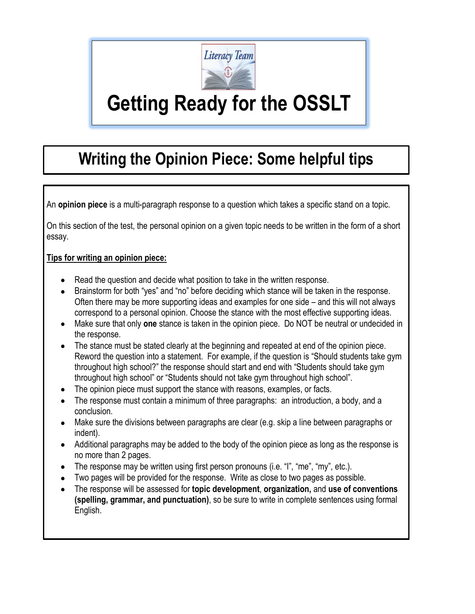

# **Getting Ready for the OSSLT**

# **Writing the Opinion Piece: Some helpful tips**

An **opinion piece** is a multi-paragraph response to a question which takes a specific stand on a topic.

On this section of the test, the personal opinion on a given topic needs to be written in the form of a short essay.

#### **Tips for writing an opinion piece:**

- Read the question and decide what position to take in the written response.
- Brainstorm for both "yes" and "no" before deciding which stance will be taken in the response. Often there may be more supporting ideas and examples for one side – and this will not always correspond to a personal opinion. Choose the stance with the most effective supporting ideas.
- Make sure that only **one** stance is taken in the opinion piece. Do NOT be neutral or undecided in the response.
- The stance must be stated clearly at the beginning and repeated at end of the opinion piece. Reword the question into a statement. For example, if the question is "Should students take gym throughout high school?" the response should start and end with "Students should take gym throughout high school" or "Students should not take gym throughout high school".
- The opinion piece must support the stance with reasons, examples, or facts.
- The response must contain a minimum of three paragraphs: an introduction, a body, and a conclusion.
- Make sure the divisions between paragraphs are clear (e.g. skip a line between paragraphs or indent).
- Additional paragraphs may be added to the body of the opinion piece as long as the response is no more than 2 pages.
- The response may be written using first person pronouns (i.e. "I", "me", "my", etc.).
- Two pages will be provided for the response. Write as close to two pages as possible.
- The response will be assessed for **topic development**, **organization,** and **use of conventions (spelling, grammar, and punctuation)**, so be sure to write in complete sentences using formal English.